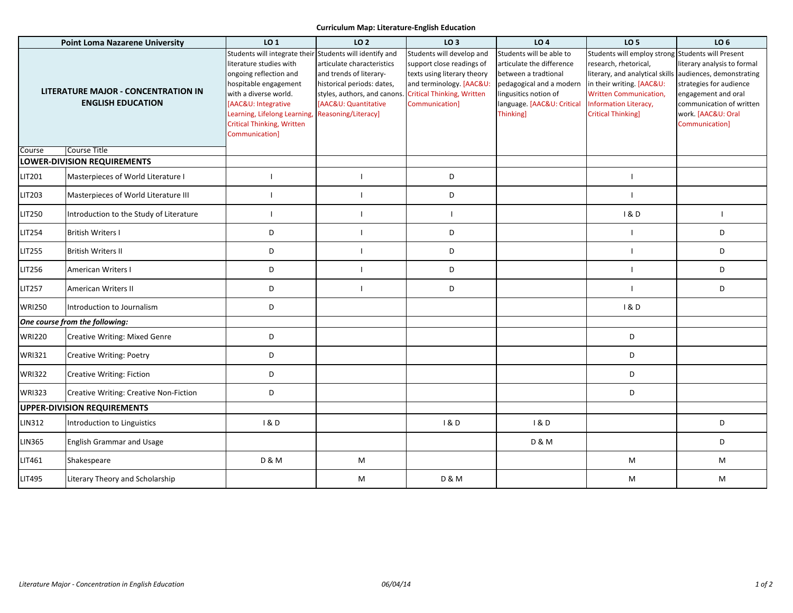## **Curriculum Map: Literature-English Education**

| <b>Point Loma Nazarene University</b>                                  |                                         | LO 1                                                                                                                                                                                                                                                                          | LO <sub>2</sub>                                                                                                                                                    | LO <sub>3</sub>                                                                                                                                                                | LO <sub>4</sub>                                                                                                                                                               | LO <sub>5</sub>                                                                                                                                                                                                    | LO <sub>6</sub>                                                                                                                                                                                               |
|------------------------------------------------------------------------|-----------------------------------------|-------------------------------------------------------------------------------------------------------------------------------------------------------------------------------------------------------------------------------------------------------------------------------|--------------------------------------------------------------------------------------------------------------------------------------------------------------------|--------------------------------------------------------------------------------------------------------------------------------------------------------------------------------|-------------------------------------------------------------------------------------------------------------------------------------------------------------------------------|--------------------------------------------------------------------------------------------------------------------------------------------------------------------------------------------------------------------|---------------------------------------------------------------------------------------------------------------------------------------------------------------------------------------------------------------|
| <b>LITERATURE MAJOR - CONCENTRATION IN</b><br><b>ENGLISH EDUCATION</b> |                                         | Students will integrate their Students will identify and<br>literature studies with<br>ongoing reflection and<br>hospitable engagement<br>with a diverse world.<br>[AAC&U: Integrative<br>Learning, Lifelong Learning,<br><b>Critical Thinking, Written</b><br>Communication] | articulate characteristics<br>and trends of literary-<br>historical periods: dates,<br>styles, authors, and canons.<br>[AAC&U: Quantitative<br>Reasoning/Literacy] | Students will develop and<br>support close readings of<br>texts using literary theory<br>and terminology. [AAC&U:<br><b>Critical Thinking, Written</b><br><b>Communication</b> | Students will be able to<br>articulate the difference<br>between a tradtional<br>pedagogical and a modern<br>lingusitics notion of<br>language. [AAC&U: Critical<br>Thinking] | Students will employ strong<br>research, rhetorical,<br>literary, and analytical skills<br>in their writing. [AAC&U:<br><b>Written Communication,</b><br><b>Information Literacy,</b><br><b>Critical Thinking]</b> | <b>Students will Present</b><br>literary analysis to formal<br>audiences, demonstrating<br>strategies for audience<br>engagement and oral<br>communication of written<br>work. [AAC&U: Oral<br>Communication] |
| Course                                                                 | <b>Course Title</b>                     |                                                                                                                                                                                                                                                                               |                                                                                                                                                                    |                                                                                                                                                                                |                                                                                                                                                                               |                                                                                                                                                                                                                    |                                                                                                                                                                                                               |
| <b>LOWER-DIVISION REQUIREMENTS</b>                                     |                                         |                                                                                                                                                                                                                                                                               |                                                                                                                                                                    |                                                                                                                                                                                |                                                                                                                                                                               |                                                                                                                                                                                                                    |                                                                                                                                                                                                               |
| LIT201                                                                 | Masterpieces of World Literature I      |                                                                                                                                                                                                                                                                               | H                                                                                                                                                                  | D                                                                                                                                                                              |                                                                                                                                                                               |                                                                                                                                                                                                                    |                                                                                                                                                                                                               |
| LIT203                                                                 | Masterpieces of World Literature III    |                                                                                                                                                                                                                                                                               | H                                                                                                                                                                  | D                                                                                                                                                                              |                                                                                                                                                                               | $\mathbf{I}$                                                                                                                                                                                                       |                                                                                                                                                                                                               |
| LIT250                                                                 | Introduction to the Study of Literature | ı                                                                                                                                                                                                                                                                             | T                                                                                                                                                                  | $\mathbf{I}$                                                                                                                                                                   |                                                                                                                                                                               | 1 & D                                                                                                                                                                                                              | $\mathbf{I}$                                                                                                                                                                                                  |
| <b>LIT254</b>                                                          | <b>British Writers I</b>                | D                                                                                                                                                                                                                                                                             | $\mathbf{I}$                                                                                                                                                       | D                                                                                                                                                                              |                                                                                                                                                                               | $\overline{1}$                                                                                                                                                                                                     | D                                                                                                                                                                                                             |
| LIT255                                                                 | <b>British Writers II</b>               | D                                                                                                                                                                                                                                                                             | $\mathbf{I}$                                                                                                                                                       | D                                                                                                                                                                              |                                                                                                                                                                               | $\overline{1}$                                                                                                                                                                                                     | D                                                                                                                                                                                                             |
| LIT256                                                                 | American Writers I                      | D                                                                                                                                                                                                                                                                             | $\mathbf{I}$                                                                                                                                                       | D                                                                                                                                                                              |                                                                                                                                                                               | $\overline{1}$                                                                                                                                                                                                     | D                                                                                                                                                                                                             |
| LIT257                                                                 | American Writers II                     | D                                                                                                                                                                                                                                                                             | $\mathbf{I}$                                                                                                                                                       | D                                                                                                                                                                              |                                                                                                                                                                               | $\overline{1}$                                                                                                                                                                                                     | D                                                                                                                                                                                                             |
| <b>WRI250</b>                                                          | Introduction to Journalism              | D                                                                                                                                                                                                                                                                             |                                                                                                                                                                    |                                                                                                                                                                                |                                                                                                                                                                               | 18D                                                                                                                                                                                                                |                                                                                                                                                                                                               |
|                                                                        | One course from the following:          |                                                                                                                                                                                                                                                                               |                                                                                                                                                                    |                                                                                                                                                                                |                                                                                                                                                                               |                                                                                                                                                                                                                    |                                                                                                                                                                                                               |
| <b>WRI220</b>                                                          | Creative Writing: Mixed Genre           | D                                                                                                                                                                                                                                                                             |                                                                                                                                                                    |                                                                                                                                                                                |                                                                                                                                                                               | D                                                                                                                                                                                                                  |                                                                                                                                                                                                               |
| <b>WRI321</b>                                                          | <b>Creative Writing: Poetry</b>         | D                                                                                                                                                                                                                                                                             |                                                                                                                                                                    |                                                                                                                                                                                |                                                                                                                                                                               | D                                                                                                                                                                                                                  |                                                                                                                                                                                                               |
| <b>WRI322</b>                                                          | Creative Writing: Fiction               | D                                                                                                                                                                                                                                                                             |                                                                                                                                                                    |                                                                                                                                                                                |                                                                                                                                                                               | D                                                                                                                                                                                                                  |                                                                                                                                                                                                               |
| <b>WRI323</b>                                                          | Creative Writing: Creative Non-Fiction  | D                                                                                                                                                                                                                                                                             |                                                                                                                                                                    |                                                                                                                                                                                |                                                                                                                                                                               | D                                                                                                                                                                                                                  |                                                                                                                                                                                                               |
|                                                                        | <b>UPPER-DIVISION REQUIREMENTS</b>      |                                                                                                                                                                                                                                                                               |                                                                                                                                                                    |                                                                                                                                                                                |                                                                                                                                                                               |                                                                                                                                                                                                                    |                                                                                                                                                                                                               |
| LIN312                                                                 | Introduction to Linguistics             | 1&D                                                                                                                                                                                                                                                                           |                                                                                                                                                                    | 18D                                                                                                                                                                            | 1&0                                                                                                                                                                           |                                                                                                                                                                                                                    | D                                                                                                                                                                                                             |
| LIN365                                                                 | <b>English Grammar and Usage</b>        |                                                                                                                                                                                                                                                                               |                                                                                                                                                                    |                                                                                                                                                                                | <b>D &amp; M</b>                                                                                                                                                              |                                                                                                                                                                                                                    | D                                                                                                                                                                                                             |
| LIT461                                                                 | Shakespeare                             | <b>D &amp; M</b>                                                                                                                                                                                                                                                              | M                                                                                                                                                                  |                                                                                                                                                                                |                                                                                                                                                                               | M                                                                                                                                                                                                                  | M                                                                                                                                                                                                             |
| LIT495                                                                 | Literary Theory and Scholarship         |                                                                                                                                                                                                                                                                               | M                                                                                                                                                                  | <b>D &amp; M</b>                                                                                                                                                               |                                                                                                                                                                               | M                                                                                                                                                                                                                  | M                                                                                                                                                                                                             |